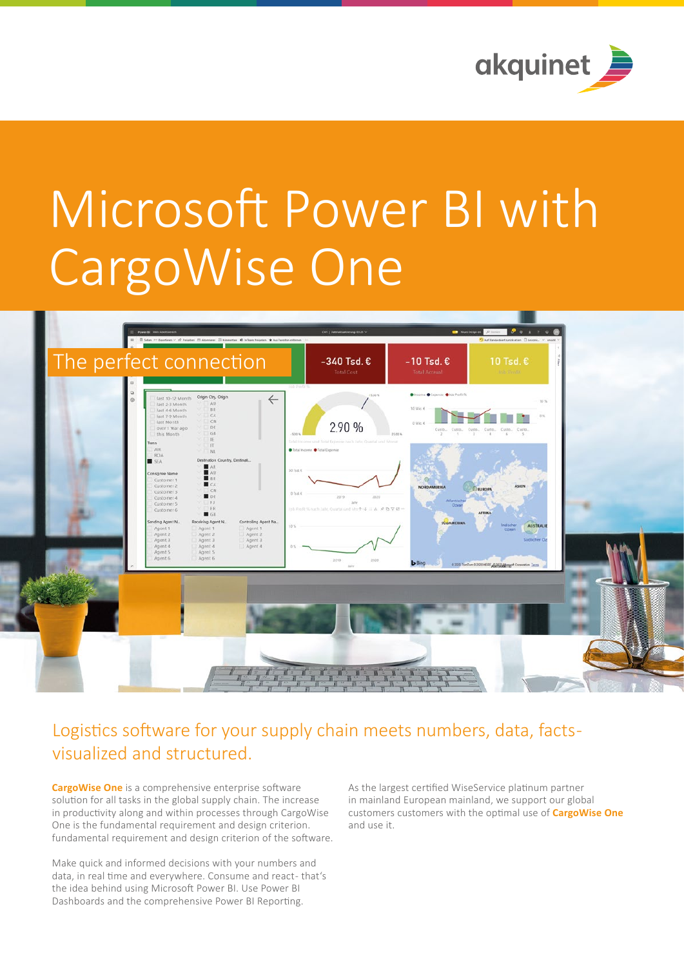

# Microsoft Power BI with CargoWise One



## Logistics software for your supply chain meets numbers, data, facts visualized and structured.

**CargoWise One** is a comprehensive enterprise software solution for all tasks in the global supply chain. The increase in productivity along and within processes through CargoWise One is the fundamental requirement and design criterion. fundamental requirement and design criterion of the software.

Make quick and informed decisions with your numbers and data, in real time and everywhere. Consume and react-that's the idea behind using Microsoft Power BI. Use Power BI Dashboards and the comprehensive Power BI Reporting.

As the largest certified WiseService platinum partner in mainland European mainland, we support our global customers customers with the optimal use of **CargoWise One** and use it.